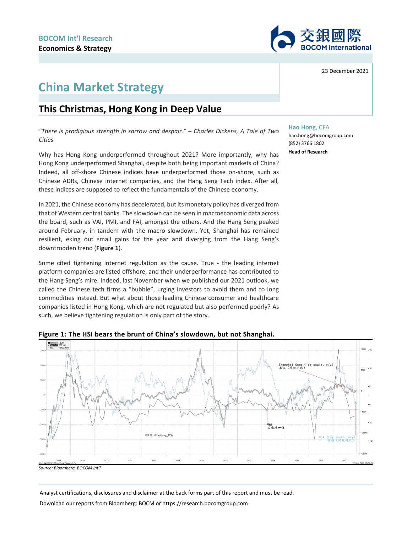

# **China Market Strategy**

## **This Christmas, Hong Kong in Deep Value**

*"There is prodigious strength in sorrow and despair." – Charles Dickens, A Tale of Two Cities*

Why has Hong Kong underperformed throughout 2021? More importantly, why has Hong Kong underperformed Shanghai, despite both being important markets of China? Indeed, all off-shore Chinese indices have underperformed those on-shore, such as Chinese ADRs, Chinese internet companies, and the Hang Seng Tech index. After all, these indices are supposed to reflect the fundamentals of the Chinese economy.

In 2021, the Chinese economy has decelerated, but its monetary policy has diverged from that of Western central banks. The slowdown can be seen in macroeconomic data across the board, such as VAI, PMI, and FAI, amongst the others. And the Hang Seng peaked around February, in tandem with the macro slowdown. Yet, Shanghai has remained resilient, eking out small gains for the year and diverging from the Hang Seng's downtrodden trend (**Figure 1**).

Some cited tightening internet regulation as the cause. True - the leading internet platform companies are listed offshore, and their underperformance has contributed to the Hang Seng's mire. Indeed, last November when we published our 2021 outlook, we called the Chinese tech firms a "bubble", urging investors to avoid them and to long commodities instead. But what about those leading Chinese consumer and healthcare companies listed in Hong Kong, which are not regulated but also performed poorly? As such, we believe tightening regulation is only part of the story.



#### **Figure 1: The HSI bears the brunt of China's slowdown, but not Shanghai.**

*Source: Bloomberg, BOCOM Int'l*

Analyst certifications, disclosures and disclaimer at the back forms part of this report and must be read.

Download our reports from Bloomberg: BOCM or https://research.bocomgroup.com

23 December 2021

#### **Hao Hong**, CFA

hao.hong@bocomgroup.com (852) 3766 1802 **Head of Research**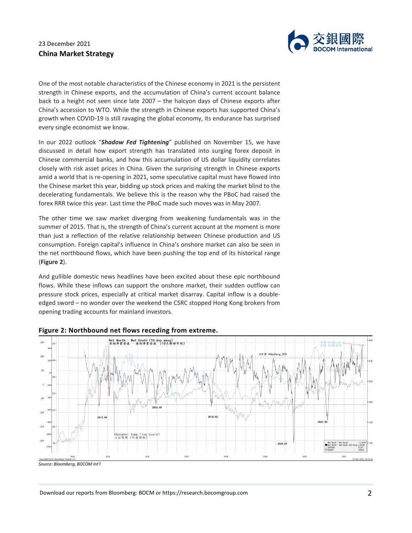

One of the most notable characteristics of the Chinese economy in 2021 is the persistent strength in Chinese exports, and the accumulation of China's current account balance back to a height not seen since late 2007 – the halcyon days of Chinese exports after China's accession to WTO. While the strength in Chinese exports has supported China's growth when COVID-19 is still ravaging the global economy, its endurance has surprised every single economist we know.

In our 2022 outlook "*Shadow Fed Tightening*" published on November 15, we have discussed in detail how export strength has translated into surging forex deposit in Chinese commercial banks, and how this accumulation of US dollar liquidity correlates closely with risk asset prices in China. Given the surprising strength in Chinese exports amid a world that is re-opening in 2021, some speculative capital must have flowed into the Chinese market this year, bidding up stock prices and making the market blind to the decelerating fundamentals. We believe this is the reason why the PBoC had raised the forex RRR twice this year. Last time the PBoC made such moves was in May 2007.

The other time we saw market diverging from weakening fundamentals was in the summer of 2015. That is, the strength of China's current account at the moment is more than just a reflection of the relative relationship between Chinese production and US consumption. Foreign capital's influence in China's onshore market can also be seen in the net northbound flows, which have been pushing the top end of its historical range (**Figure 2**).

And gullible domestic news headlines have been excited about these epic northbound flows. While these inflows can support the onshore market, their sudden outflow can pressure stock prices, especially at critical market disarray. Capital inflow is a doubleedged sword – no wonder over the weekend the CSRC stopped Hong Kong brokers from opening trading accounts for mainland investors.



#### **Figure 2: Northbound net flows receding from extreme.**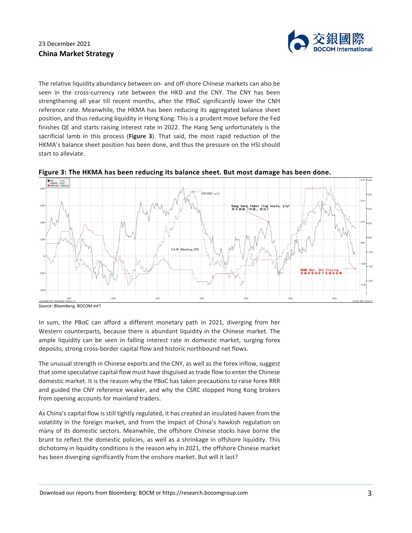

The relative liquidity abundancy between on- and off-shore Chinese markets can also be seen in the cross-currency rate between the HKD and the CNY. The CNY has been strengthening all year till recent months, after the PBoC significantly lower the CNH reference rate. Meanwhile, the HKMA has been reducing its aggregated balance sheet position, and thus reducing liquidity in Hong Kong. This is a prudent move before the Fed finishes QE and starts raising interest rate in 2022. The Hang Seng unfortunately is the sacrificial lamb in this process (**Figure 3**). That said, the most rapid reduction of the HKMA's balance sheet position has been done, and thus the pressure on the HSI should start to alleviate.





*Source: Bloomberg, BOCOM Int'l*

In sum, the PBoC can afford a different monetary path in 2021, diverging from her Western counterparts, because there is abundant liquidity in the Chinese market. The ample liquidity can be seen in falling interest rate in domestic market, surging forex deposits, strong cross-border capital flow and historic northbound net flows.

The unusual strength in Chinese exports and the CNY, as well as the forex inflow, suggest that some speculative capital flow must have disguised as trade flow to enter the Chinese domestic market. It is the reason why the PBoC has taken precautions to raise forex RRR and guided the CNY reference weaker, and why the CSRC stopped Hong Kong brokers from opening accounts for mainland traders.

As China's capital flow is still tightly regulated, it has created an insulated haven from the volatility in the foreign market, and from the impact of China's hawkish regulation on many of its domestic sectors. Meanwhile, the offshore Chinese stocks have borne the brunt to reflect the domestic policies, as well as a shrinkage in offshore liquidity. This dichotomy in liquidity conditions is the reason why in 2021, the offshore Chinese market has been diverging significantly from the onshore market. But will it last?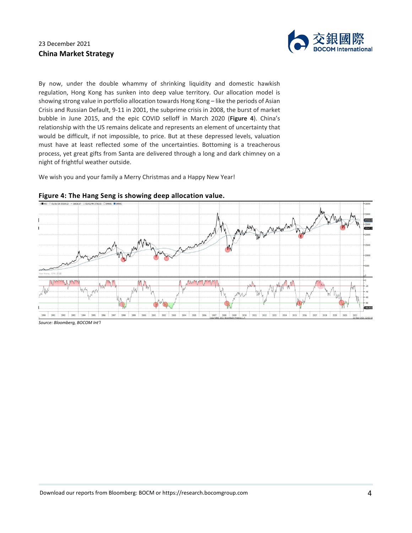

By now, under the double whammy of shrinking liquidity and domestic hawkish regulation, Hong Kong has sunken into deep value territory. Our allocation model is showing strong value in portfolio allocation towards Hong Kong – like the periods of Asian Crisis and Russian Default, 9-11 in 2001, the subprime crisis in 2008, the burst of market bubble in June 2015, and the epic COVID selloff in March 2020 (**Figure 4**). China's relationship with the US remains delicate and represents an element of uncertainty that would be difficult, if not impossible, to price. But at these depressed levels, valuation must have at least reflected some of the uncertainties. Bottoming is a treacherous process, yet great gifts from Santa are delivered through a long and dark chimney on a night of frightful weather outside.

We wish you and your family a Merry Christmas and a Happy New Year!



### **Figure 4: The Hang Seng is showing deep allocation value.**

*Source: Bloomberg, BOCOM Int'l*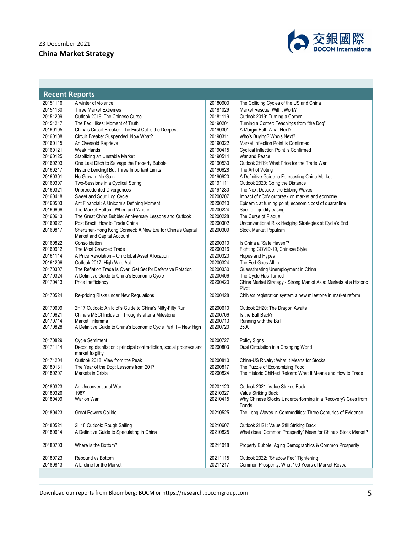

| <b>Recent Reports</b> |                                                                                         |                      |                                                                             |  |
|-----------------------|-----------------------------------------------------------------------------------------|----------------------|-----------------------------------------------------------------------------|--|
| 20151116              | A winter of violence                                                                    | 20180903             | The Colliding Cycles of the US and China                                    |  |
| 20151130              | Three Market Extremes                                                                   | 20181029             | Market Rescue: Will It Work?                                                |  |
| 20151209              | Outlook 2016: The Chinese Curse                                                         | 20181119             | Outlook 2019: Turning a Corner                                              |  |
| 20151217              | The Fed Hikes: Moment of Truth                                                          | 20190201             | Turning a Corner: Teachings from "the Dog"                                  |  |
| 20160105              | China's Circuit Breaker: The First Cut is the Deepest                                   | 20190301             | A Margin Bull. What Next?                                                   |  |
| 20160108              | Circuit Breaker Suspended. Now What?                                                    | 20190311             | Who's Buying? Who's Next?                                                   |  |
| 20160115              | An Oversold Reprieve                                                                    | 20190322             | Market Inflection Point is Confirmed                                        |  |
| 20160121              | Weak Hands                                                                              | 20190415             | <b>Cyclical Inflection Point is Confirmed</b>                               |  |
| 20160125              | Stabilizing an Unstable Market                                                          | 20190514             | War and Peace                                                               |  |
| 20160203              | One Last Ditch to Salvage the Property Bubble                                           | 20190530             | Outlook 2H19: What Price for the Trade War                                  |  |
| 20160217              | Historic Lending! But Three Important Limits                                            | 20190628             | The Art of Voting                                                           |  |
| 20160301              | No Growth, No Gain                                                                      | 20190920             | A Definitive Guide to Forecasting China Market                              |  |
| 20160307              | Two-Sessions in a Cyclical Spring                                                       | 20191111             | Outlook 2020: Going the Distance                                            |  |
| 20160321              | <b>Unprecedented Divergences</b>                                                        | 20191230             | The Next Decade: the Ebbing Waves                                           |  |
| 20160418              | Sweet and Sour Hog Cycle                                                                | 20200207             | Impact of nCoV outbreak on market and economy                               |  |
| 20160503              | Ant Financial: A Unicorn's Defining Moment                                              | 20200210             | Epidemic at turning point; economic cost of quarantine                      |  |
| 20160606              | The Market Bottom: When and Where                                                       | 20200224             | Spell of liquidity easing                                                   |  |
| 20160613              | The Great China Bubble: Anniversary Lessons and Outlook                                 | 20200228             | The Curse of Plague                                                         |  |
| 20160627              | Post Brexit: How to Trade China                                                         | 20200302             | Unconventional Risk Hedging Strategies at Cycle's End                       |  |
| 20160817              | Shenzhen-Hong Kong Connect: A New Era for China's Capital                               | 20200309             | Stock Market Populism                                                       |  |
|                       | Market and Capital Account                                                              |                      |                                                                             |  |
| 20160822<br>20160912  | Consolidation<br>The Most Crowded Trade                                                 | 20200310<br>20200316 | Is China a "Safe Haven"?<br>Fighting COVID-19, Chinese Style                |  |
| 20161114              | A Price Revolution - On Global Asset Allocation                                         | 20200323             | Hopes and Hypes                                                             |  |
| 20161206              | Outlook 2017: High-Wire Act                                                             | 20200324             | The Fed Goes All In                                                         |  |
| 20170307              | The Reflation Trade Is Over; Get Set for Defensive Rotation                             | 20200330             | Guesstimating Unemployment in China                                         |  |
| 20170324              | A Definitive Guide to China's Economic Cycle                                            | 20200406             | The Cycle Has Turned                                                        |  |
| 20170413              | Price Inefficiency                                                                      | 20200420             | China Market Strategy - Strong Man of Asia: Markets at a Historic           |  |
|                       |                                                                                         |                      | Pivot                                                                       |  |
| 20170524              | Re-pricing Risks under New Regulations                                                  | 20200428             | ChiNext registration system a new milestone in market reform                |  |
| 20170609              | 2H17 Outlook: An Idiot's Guide to China's Nifty-Fifty Run                               | 20200610             | Outlook 2H20: The Dragon Awaits                                             |  |
| 20170621              | China's MSCI Inclusion: Thoughts after a Milestone                                      | 20200706             | Is the Bull Back?                                                           |  |
| 20170714              | Market Trilemma                                                                         | 20200713             | Running with the Bull                                                       |  |
| 20170828              | A Definitive Guide to China's Economic Cycle Part II - New High                         | 20200720             | 3500                                                                        |  |
|                       |                                                                                         |                      |                                                                             |  |
| 20170829              | <b>Cycle Sentiment</b>                                                                  | 20200727             | <b>Policy Signs</b>                                                         |  |
| 20171114              | Decoding disinflation: principal contradiction, social progress and<br>market fragility | 20200803             | Dual Circulation in a Changing World                                        |  |
| 20171204              | Outlook 2018: View from the Peak                                                        | 20200810             | China-US Rivalry: What It Means for Stocks                                  |  |
| 20180131              | The Year of the Dog: Lessons from 2017                                                  | 20200817             | The Puzzle of Economizing Food                                              |  |
| 20180207              | Markets in Crisis                                                                       | 20200824             | The Historic ChiNext Reform: What It Means and How to Trade                 |  |
| 20180323              | An Unconventional War                                                                   | 20201120             | Outlook 2021: Value Strikes Back                                            |  |
| 20180326              | 1987                                                                                    | 20210327             | Value Striking Back                                                         |  |
| 20180409              | War on War                                                                              | 20210415             | Why Chinese Stocks Underperforming in a Recovery? Cues from<br><b>Bonds</b> |  |
| 20180423              | <b>Great Powers Collide</b>                                                             | 20210525             | The Long Waves in Commodities: Three Centuries of Evidence                  |  |
| 20180521              | 2H18 Outlook: Rough Sailing                                                             | 20210607             | Outlook 2H21: Value Still Striking Back                                     |  |
| 20180614              | A Definitive Guide to Speculating in China                                              | 20210825             | What does "Common Prosperity" Mean for China's Stock Market?                |  |
|                       |                                                                                         |                      |                                                                             |  |
| 20180703              | Where is the Bottom?                                                                    | 20211018             | Property Bubble, Aging Demographics & Common Prosperity                     |  |
| 20180723              | Rebound vs Bottom                                                                       | 20211115             | Outlook 2022: "Shadow Fed" Tightening                                       |  |
| 20180813              | A Lifeline for the Market                                                               | 20211217             | Common Prosperity: What 100 Years of Market Reveal                          |  |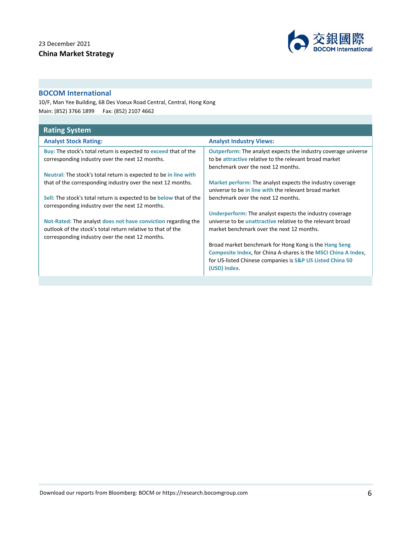

### **BOCOM International**

10/F, Man Yee Building, 68 Des Voeux Road Central, Central, Hong Kong Main: (852) 3766 1899 Fax: (852) 2107 4662

| <b>Rating System</b>                                                                                                                |                                                                                                                                                                       |  |  |
|-------------------------------------------------------------------------------------------------------------------------------------|-----------------------------------------------------------------------------------------------------------------------------------------------------------------------|--|--|
| <b>Analyst Stock Rating:</b>                                                                                                        | <b>Analyst Industry Views:</b>                                                                                                                                        |  |  |
| <b>Buy:</b> The stock's total return is expected to exceed that of the<br>corresponding industry over the next 12 months.           | <b>Outperform:</b> The analyst expects the industry coverage universe<br>to be attractive relative to the relevant broad market<br>benchmark over the next 12 months. |  |  |
| Neutral: The stock's total return is expected to be in line with                                                                    |                                                                                                                                                                       |  |  |
| that of the corresponding industry over the next 12 months.                                                                         | Market perform: The analyst expects the industry coverage<br>universe to be in line with the relevant broad market                                                    |  |  |
| <b>Sell:</b> The stock's total return is expected to be <b>below</b> that of the<br>corresponding industry over the next 12 months. | benchmark over the next 12 months.                                                                                                                                    |  |  |
|                                                                                                                                     | <b>Underperform:</b> The analyst expects the industry coverage                                                                                                        |  |  |
| Not-Rated: The analyst does not have conviction regarding the                                                                       | universe to be <i>unattractive</i> relative to the relevant broad                                                                                                     |  |  |
| outlook of the stock's total return relative to that of the<br>corresponding industry over the next 12 months.                      | market benchmark over the next 12 months.                                                                                                                             |  |  |
|                                                                                                                                     | Broad market benchmark for Hong Kong is the Hang Seng                                                                                                                 |  |  |
|                                                                                                                                     | Composite Index, for China A-shares is the MSCI China A Index,<br>for US-listed Chinese companies is S&P US Listed China 50<br>(USD) Index.                           |  |  |
|                                                                                                                                     |                                                                                                                                                                       |  |  |